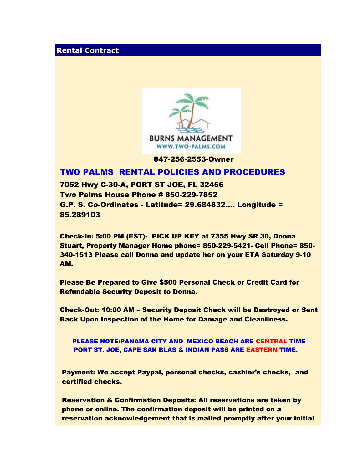## **Rental Contract**



847-256-2553-Owner

## TWO PALMS RENTAL POLICIES AND PROCEDURES

7052 Hwy C-30-A, PORT ST JOE, FL 32456 Two Palms House Phone # 850-229-7852 G.P. S. Co-Ordinates - Latitude= 29.684832…. Longitude = 85.289103

Check-In: 5:00 PM (EST)- PICK UP KEY at 7355 Hwy SR 30, Donna Stuart, Property Manager Home phone= 850-229-5421- Cell Phone= 850- 340-1513 Please call Donna and update her on your ETA Saturday 9-10 AM.

Please Be Prepared to Give \$500 Personal Check or Credit Card for Refundable Security Deposit to Donna.

Check-Out: 10:00 AM – Security Deposit Check will be Destroyed or Sent Back Upon Inspection of the Home for Damage and Cleanliness.

PLEASE NOTE:PANAMA CITY AND MEXICO BEACH ARE CENTRAL TIME PORT ST. JOE, CAPE SAN BLAS & INDIAN PASS ARE EASTERN TIME.

Payment: We accept Paypal, personal checks, cashier's checks, and certified checks.

Reservation & Confirmation Deposits: All reservations are taken by phone or online. The confirmation deposit will be printed on a reservation acknowledgement that is mailed promptly after your initial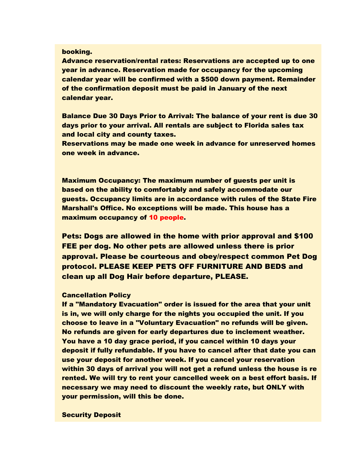#### booking.

Advance reservation/rental rates: Reservations are accepted up to one year in advance. Reservation made for occupancy for the upcoming calendar year will be confirmed with a \$500 down payment. Remainder of the confirmation deposit must be paid in January of the next calendar year.

Balance Due 30 Days Prior to Arrival: The balance of your rent is due 30 days prior to your arrival. All rentals are subject to Florida sales tax and local city and county taxes.

Reservations may be made one week in advance for unreserved homes one week in advance.

Maximum Occupancy: The maximum number of guests per unit is based on the ability to comfortably and safely accommodate our guests. Occupancy limits are in accordance with rules of the State Fire Marshall's Office. No exceptions will be made. This house has a maximum occupancy of 10 people.

Pets: Dogs are allowed in the home with prior approval and \$100 FEE per dog. No other pets are allowed unless there is prior approval. Please be courteous and obey/respect common Pet Dog protocol. PLEASE KEEP PETS OFF FURNITURE AND BEDS and clean up all Dog Hair before departure, PLEASE.

#### Cancellation Policy

If a "Mandatory Evacuation" order is issued for the area that your unit is in, we will only charge for the nights you occupied the unit. If you choose to leave in a "Voluntary Evacuation" no refunds will be given. No refunds are given for early departures due to inclement weather. You have a 10 day grace period, if you cancel within 10 days your deposit if fully refundable. If you have to cancel after that date you can use your deposit for another week. If you cancel your reservation within 30 days of arrival you will not get a refund unless the house is re rented. We will try to rent your cancelled week on a best effort basis. If necessary we may need to discount the weekly rate, but ONLY with your permission, will this be done.

Security Deposit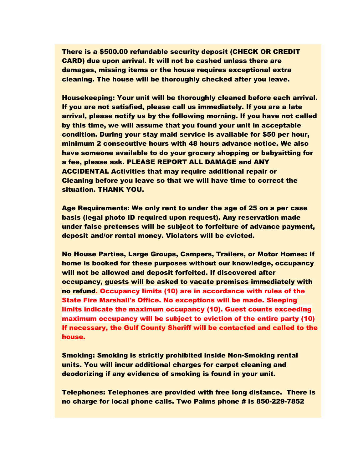There is a \$500.00 refundable security deposit (CHECK OR CREDIT CARD) due upon arrival. It will not be cashed unless there are damages, missing items or the house requires exceptional extra cleaning. The house will be thoroughly checked after you leave.

Housekeeping: Your unit will be thoroughly cleaned before each arrival. If you are not satisfied, please call us immediately. If you are a late arrival, please notify us by the following morning. If you have not called by this time, we will assume that you found your unit in acceptable condition. During your stay maid service is available for \$50 per hour, minimum 2 consecutive hours with 48 hours advance notice. We also have someone available to do your grocery shopping or babysitting for a fee, please ask. PLEASE REPORT ALL DAMAGE and ANY ACCIDENTAL Activities that may require additional repair or Cleaning before you leave so that we will have time to correct the situation. THANK YOU.

Age Requirements: We only rent to under the age of 25 on a per case basis (legal photo ID required upon request). Any reservation made under false pretenses will be subject to forfeiture of advance payment, deposit and/or rental money. Violators will be evicted.

No House Parties, Large Groups, Campers, Trailers, or Motor Homes: If home is booked for these purposes without our knowledge, occupancy will not be allowed and deposit forfeited. If discovered after occupancy, guests will be asked to vacate premises immediately with no refund. Occupancy limits (10) are in accordance with rules of the State Fire Marshall's Office. No exceptions will be made. Sleeping limits indicate the maximum occupancy (10). Guest counts exceeding maximum occupancy will be subject to eviction of the entire party (10) If necessary, the Gulf County Sheriff will be contacted and called to the house.

Smoking: Smoking is strictly prohibited inside Non-Smoking rental units. You will incur additional charges for carpet cleaning and deodorizing if any evidence of smoking is found in your unit.

Telephones: Telephones are provided with free long distance. There is no charge for local phone calls. Two Palms phone # is 850-229-7852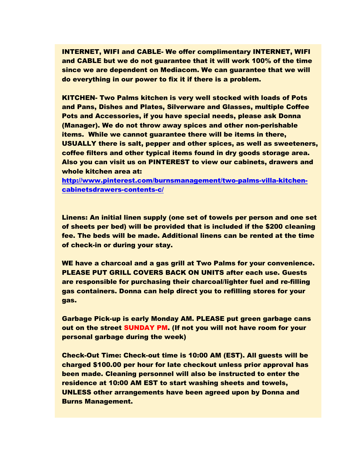INTERNET, WIFI and CABLE- We offer complimentary INTERNET, WIFI and CABLE but we do not guarantee that it will work 100% of the time since we are dependent on Mediacom. We can guarantee that we will do everything in our power to fix it if there is a problem.

KITCHEN- Two Palms kitchen is very well stocked with loads of Pots and Pans, Dishes and Plates, Silverware and Glasses, multiple Coffee Pots and Accessories, if you have special needs, please ask Donna (Manager). We do not throw away spices and other non-perishable items. While we cannot guarantee there will be items in there, USUALLY there is salt, pepper and other spices, as well as sweeteners, coffee filters and other typical items found in dry goods storage area. Also you can visit us on PINTEREST to view our cabinets, drawers and whole kitchen area at:

[http://www.pinterest.com/burnsmanagement/two-palms-villa-kitchen](http://www.pinterest.com/burnsmanagement/two-palms-villa-kitchen-cabinetsdrawers-contents-c/)[cabinetsdrawers-contents-c/](http://www.pinterest.com/burnsmanagement/two-palms-villa-kitchen-cabinetsdrawers-contents-c/)

Linens: An initial linen supply (one set of towels per person and one set of sheets per bed) will be provided that is included if the \$200 cleaning fee. The beds will be made. Additional linens can be rented at the time of check-in or during your stay.

WE have a charcoal and a gas grill at Two Palms for your convenience. PLEASE PUT GRILL COVERS BACK ON UNITS after each use. Guests are responsible for purchasing their charcoal/lighter fuel and re-filling gas containers. Donna can help direct you to refilling stores for your gas.

Garbage Pick-up is early Monday AM. PLEASE put green garbage cans out on the street SUNDAY PM. (If not you will not have room for your personal garbage during the week)

Check-Out Time: Check-out time is 10:00 AM (EST). All guests will be charged \$100.00 per hour for late checkout unless prior approval has been made. Cleaning personnel will also be instructed to enter the residence at 10:00 AM EST to start washing sheets and towels, UNLESS other arrangements have been agreed upon by Donna and Burns Management.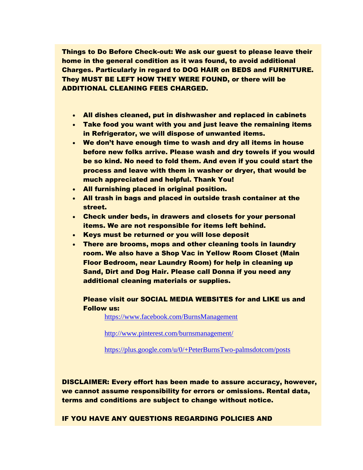Things to Do Before Check-out: We ask our guest to please leave their home in the general condition as it was found, to avoid additional Charges. Particularly in regard to DOG HAIR on BEDS and FURNITURE. They MUST BE LEFT HOW THEY WERE FOUND, or there will be ADDITIONAL CLEANING FEES CHARGED.

- All dishes cleaned, put in dishwasher and replaced in cabinets
- Take food you want with you and just leave the remaining items in Refrigerator, we will dispose of unwanted items.
- We don't have enough time to wash and dry all items in house before new folks arrive. Please wash and dry towels if you would be so kind. No need to fold them. And even if you could start the process and leave with them in washer or dryer, that would be much appreciated and helpful. Thank You!
- All furnishing placed in original position.
- All trash in bags and placed in outside trash container at the street.
- Check under beds, in drawers and closets for your personal items. We are not responsible for items left behind.
- Keys must be returned or you will lose deposit
- There are brooms, mops and other cleaning tools in laundry room. We also have a Shop Vac in Yellow Room Closet (Main Floor Bedroom, near Laundry Room) for help in cleaning up Sand, Dirt and Dog Hair. Please call Donna if you need any additional cleaning materials or supplies.

Please visit our SOCIAL MEDIA WEBSITES for and LIKE us and Follow us:

<https://www.facebook.com/BurnsManagement>

<http://www.pinterest.com/burnsmanagement/>

<https://plus.google.com/u/0/+PeterBurnsTwo-palmsdotcom/posts>

DISCLAIMER: Every effort has been made to assure accuracy, however, we cannot assume responsibility for errors or omissions. Rental data, terms and conditions are subject to change without notice.

IF YOU HAVE ANY QUESTIONS REGARDING POLICIES AND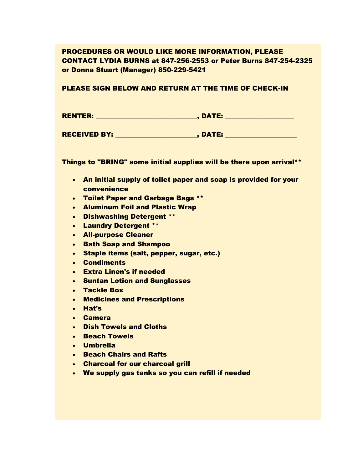# PROCEDURES OR WOULD LIKE MORE INFORMATION, PLEASE CONTACT LYDIA BURNS at 847-256-2553 or Peter Burns 847-254-2325 or Donna Stuart (Manager) 850-229-5421

### PLEASE SIGN BELOW AND RETURN AT THE TIME OF CHECK-IN

| <b>RENTER:</b> | , DATE: |  |
|----------------|---------|--|
|                |         |  |

RECEIVED BY: \_\_\_\_\_\_\_\_\_\_\_\_\_\_\_\_\_\_\_\_\_\_\_\_\_, DATE: \_\_\_\_\_\_\_\_\_\_\_\_\_\_\_\_\_\_\_\_\_\_

Things to "BRING" some initial supplies will be there upon arrival\*\*

- An initial supply of toilet paper and soap is provided for your convenience
- Toilet Paper and Garbage Bags \*\*
- Aluminum Foil and Plastic Wrap
- Dishwashing Detergent \*\*
- Laundry Detergent \*\*
- All-purpose Cleaner
- Bath Soap and Shampoo
- Staple items (salt, pepper, sugar, etc.)
- Condiments
- Extra Linen's if needed
- **Suntan Lotion and Sunglasses**
- Tackle Box
- Medicines and Prescriptions
- Hat's
- Camera
- Dish Towels and Cloths
- Beach Towels
- Umbrella
- **Beach Chairs and Rafts**
- Charcoal for our charcoal grill
- We supply gas tanks so you can refill if needed